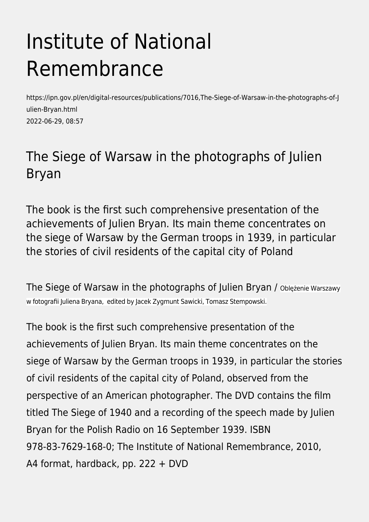## Institute of National Remembrance

https://ipn.gov.pl/en/digital-resources/publications/7016,The-Siege-of-Warsaw-in-the-photographs-of-J ulien-Bryan.html 2022-06-29, 08:57

## The Siege of Warsaw in the photographs of Julien Bryan

The book is the first such comprehensive presentation of the achievements of Julien Bryan. Its main theme concentrates on the siege of Warsaw by the German troops in 1939, in particular the stories of civil residents of the capital city of Poland

The Siege of Warsaw in the photographs of Julien Bryan / Oblężenie Warszawy w fotografii Juliena Bryana, edited by Jacek Zygmunt Sawicki, Tomasz Stempowski.

The book is the first such comprehensive presentation of the achievements of Julien Bryan. Its main theme concentrates on the siege of Warsaw by the German troops in 1939, in particular the stories of civil residents of the capital city of Poland, observed from the perspective of an American photographer. The DVD contains the film titled The Siege of 1940 and a recording of the speech made by Julien Bryan for the Polish Radio on 16 September 1939. ISBN 978-83-7629-168-0; The Institute of National Remembrance, 2010, A4 format, hardback, pp. 222 + DVD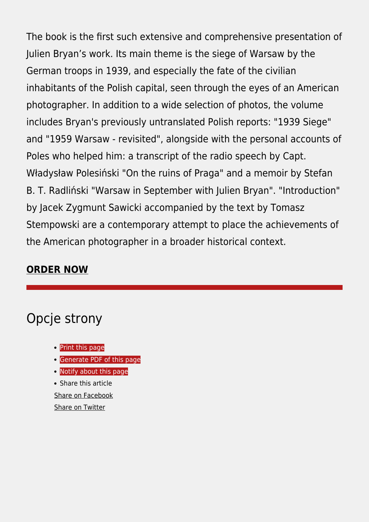The book is the first such extensive and comprehensive presentation of Julien Bryan's work. Its main theme is the siege of Warsaw by the German troops in 1939, and especially the fate of the civilian inhabitants of the Polish capital, seen through the eyes of an American photographer. In addition to a wide selection of photos, the volume includes Bryan's previously untranslated Polish reports: "1939 Siege" and "1959 Warsaw - revisited", alongside with the personal accounts of Poles who helped him: a transcript of the radio speech by Capt. Władysław Polesiński "On the ruins of Praga" and a memoir by Stefan B. T. Radliński "Warsaw in September with Julien Bryan". "Introduction" by Jacek Zygmunt Sawicki accompanied by the text by Tomasz Stempowski are a contemporary attempt to place the achievements of the American photographer in a broader historical context.

## **[ORDER NOW](https://ipn.poczytaj.pl/ksiazka/oblezenie-warszawy-w-fotografii-juliena-bryana-cd,181655)**

## Opcje strony

- [Print](https://ipn.gov.pl/javascript:winopen() [this page](https://ipn.gov.pl/javascript:winopen()
- **[Generate PDF](https://ipn.gov.pl/en/digital-resources/publications/7016,The-Siege-of-Warsaw-in-the-photographs-of-Julien-Bryan.pdf) [of this page](https://ipn.gov.pl/en/digital-resources/publications/7016,The-Siege-of-Warsaw-in-the-photographs-of-Julien-Bryan.pdf)**
- [Notify](https://ipn.gov.pl/en/powiadom/7016,dok.html?poz=digital-resources/publications&drukuj=window) [about this page](https://ipn.gov.pl/en/powiadom/7016,dok.html?poz=digital-resources/publications&drukuj=window)

• Share this article [Share](https://www.facebook.com/sharer/sharer.php?u=https://ipn.gov.pl/en/digital-resources/publications/7016,The-Siege-of-Warsaw-in-the-photographs-of-Julien-Bryan.html) [on Facebook](https://www.facebook.com/sharer/sharer.php?u=https://ipn.gov.pl/en/digital-resources/publications/7016,The-Siege-of-Warsaw-in-the-photographs-of-Julien-Bryan.html) [Share](https://twitter.com/share) [on Twitter](https://twitter.com/share)